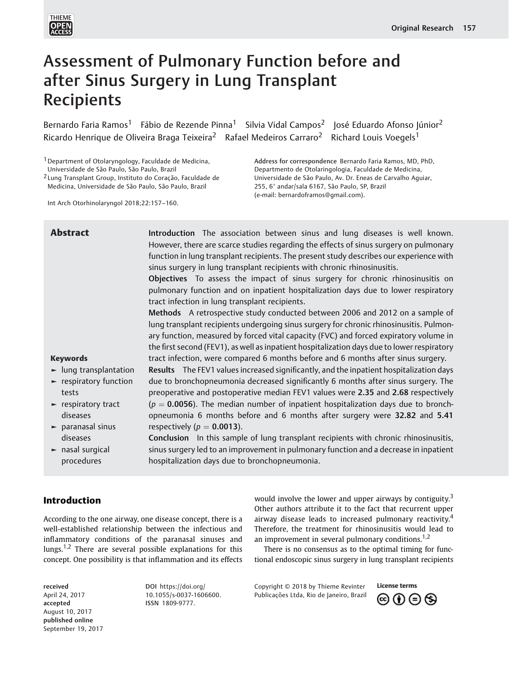

# Assessment of Pulmonary Function before and after Sinus Surgery in Lung Transplant Recipients

Bernardo Faria Ramos<sup>1</sup> Fábio de Rezende Pinna<sup>1</sup> Silvia Vidal Campos<sup>2</sup> José Eduardo Afonso Júnior<sup>2</sup> Ricardo Henrique de Oliveira Braga Teixeira<sup>2</sup> Rafael Medeiros Carraro<sup>2</sup> Richard Louis Voegels<sup>1</sup>

1Department of Otolaryngology, Faculdade de Medicina,

Universidade de São Paulo, São Paulo, Brazil

2 Lung Transplant Group, Instituto do Coração, Faculdade de Medicina, Universidade de São Paulo, São Paulo, Brazil

Int Arch Otorhinolaryngol 2018;22:157–160.

Address for correspondence Bernardo Faria Ramos, MD, PhD, Departmento de Otolaringologia, Faculdade de Medicina, Universidade de São Paulo, Av. Dr. Eneas de Carvalho Aguiar, 255, 6° andar/sala 6167, São Paulo, SP, Brazil (e-mail: [bernardoframos@gmail.com\)](mailto:bernardoframos@gmail.com).

# Introduction

According to the one airway, one disease concept, there is a well-established relationship between the infectious and inflammatory conditions of the paranasal sinuses and lungs.<sup>1,2</sup> There are several possible explanations for this concept. One possibility is that inflammation and its effects

received April 24, 2017 accepted August 10, 2017 published online September 19, 2017 DOI [https://doi.org/](https://doi.org/10.1055/s-0037-1606600) [10.1055/s-0037-1606600](https://doi.org/10.1055/s-0037-1606600). ISSN 1809-9777.

would involve the lower and upper airways by contiguity.<sup>3</sup> Other authors attribute it to the fact that recurrent upper airway disease leads to increased pulmonary reactivity.<sup>4</sup> Therefore, the treatment for rhinosinusitis would lead to an improvement in several pulmonary conditions.<sup>1,2</sup>

There is no consensus as to the optimal timing for functional endoscopic sinus surgery in lung transplant recipients

Copyright © 2018 by Thieme Revinter Publicações Ltda, Rio de Janeiro, Brazil

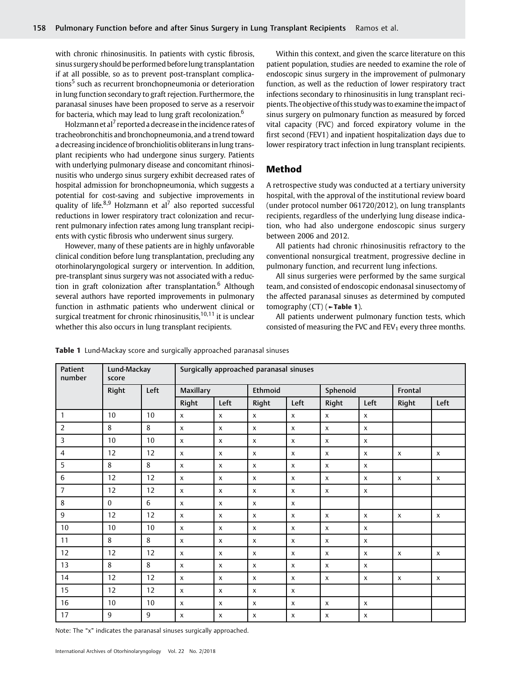with chronic rhinosinusitis. In patients with cystic fibrosis, sinus surgery should be performed beforelung transplantation if at all possible, so as to prevent post-transplant complications<sup>5</sup> such as recurrent bronchopneumonia or deterioration in lung function secondary to graft rejection. Furthermore, the paranasal sinuses have been proposed to serve as a reservoir for bacteria, which may lead to lung graft recolonization.<sup>6</sup>

Holzmann et al<sup>7</sup> reported a decrease in the incidence rates of tracheobronchitis and bronchopneumonia, and a trend toward a decreasing incidence of bronchiolitis obliterans in lung transplant recipients who had undergone sinus surgery. Patients with underlying pulmonary disease and concomitant rhinosinusitis who undergo sinus surgery exhibit decreased rates of hospital admission for bronchopneumonia, which suggests a potential for cost-saving and subjective improvements in quality of life. $8,9$  Holzmann et al<sup>7</sup> also reported successful reductions in lower respiratory tract colonization and recurrent pulmonary infection rates among lung transplant recipients with cystic fibrosis who underwent sinus surgery.

However, many of these patients are in highly unfavorable clinical condition before lung transplantation, precluding any otorhinolaryngological surgery or intervention. In addition, pre-transplant sinus surgery was not associated with a reduction in graft colonization after transplantation.<sup>6</sup> Although several authors have reported improvements in pulmonary function in asthmatic patients who underwent clinical or surgical treatment for chronic rhinosinusitis, $10,11$  it is unclear whether this also occurs in lung transplant recipients.

Within this context, and given the scarce literature on this patient population, studies are needed to examine the role of endoscopic sinus surgery in the improvement of pulmonary function, as well as the reduction of lower respiratory tract infections secondary to rhinosinusitis in lung transplant recipients. The objective of this study was to examine the impact of sinus surgery on pulmonary function as measured by forced vital capacity (FVC) and forced expiratory volume in the first second (FEV1) and inpatient hospitalization days due to lower respiratory tract infection in lung transplant recipients.

## Method

A retrospective study was conducted at a tertiary university hospital, with the approval of the institutional review board (under protocol number 061720/2012), on lung transplants recipients, regardless of the underlying lung disease indication, who had also undergone endoscopic sinus surgery between 2006 and 2012.

All patients had chronic rhinosinusitis refractory to the conventional nonsurgical treatment, progressive decline in pulmonary function, and recurrent lung infections.

All sinus surgeries were performed by the same surgical team, and consisted of endoscopic endonasal sinusectomy of the affected paranasal sinuses as determined by computed tomography  $(CT)$  ( $\blacktriangleright$ Table 1).

All patients underwent pulmonary function tests, which consisted of measuring the FVC and  $FEV<sub>1</sub>$  every three months.

| <b>Patient</b><br>number | Lund-Mackay<br>score |                | Surgically approached paranasal sinuses |                    |                           |                           |                           |                           |                           |                           |
|--------------------------|----------------------|----------------|-----------------------------------------|--------------------|---------------------------|---------------------------|---------------------------|---------------------------|---------------------------|---------------------------|
|                          | Right                | Left           | <b>Maxillary</b>                        |                    | Ethmoid                   |                           | Sphenoid                  |                           | Frontal                   |                           |
|                          |                      |                | Right                                   | Left               | Right                     | Left                      | Right                     | Left                      | Right                     | Left                      |
| 1                        | 10                   | 10             | X                                       | X                  | X                         | $\boldsymbol{\mathsf{X}}$ | X                         | $\boldsymbol{\mathsf{x}}$ |                           |                           |
| $\overline{2}$           | 8                    | 8              | $\pmb{\chi}$                            | $\mathsf{x}$       | $\boldsymbol{\mathsf{x}}$ | $\boldsymbol{\mathsf{X}}$ | $\boldsymbol{\mathsf{x}}$ | $\boldsymbol{\mathsf{X}}$ |                           |                           |
| 3                        | 10                   | 10             | X                                       | X                  | X                         | $\mathsf{x}$              | $\pmb{\chi}$              | $\pmb{\chi}$              |                           |                           |
| $\overline{4}$           | 12                   | 12             | X                                       | X                  | X                         | X                         | $\pmb{\chi}$              | $\boldsymbol{\mathsf{X}}$ | $\boldsymbol{\mathsf{x}}$ | $\mathsf{x}$              |
| 5                        | 8                    | 8              | $\mathsf{x}$                            | $\mathsf{x}$       | X                         | $\mathsf{x}$              | $\pmb{\chi}$              | $\boldsymbol{\mathsf{x}}$ |                           |                           |
| 6                        | 12                   | 12             | X                                       | X                  | X                         | X                         | $\pmb{\chi}$              | $\boldsymbol{\mathsf{x}}$ | X                         | $\mathsf{x}$              |
| $\overline{7}$           | 12                   | 12             | $\pmb{\chi}$                            | $\mathsf{x}$       | $\mathsf{x}$              | $\boldsymbol{\mathsf{X}}$ | $\pmb{\chi}$              | $\boldsymbol{\mathsf{X}}$ |                           |                           |
| 8                        | $\mathbf{0}$         | 6              | X                                       | X                  | X                         | X                         |                           |                           |                           |                           |
| 9                        | 12                   | 12             | $\boldsymbol{\mathsf{x}}$               | X                  | $\mathsf{x}$              | $\boldsymbol{\mathsf{X}}$ | $\boldsymbol{\mathsf{x}}$ | $\boldsymbol{\mathsf{x}}$ | $\boldsymbol{\mathsf{x}}$ | $\boldsymbol{\mathsf{x}}$ |
| $10\,$                   | 10                   | 10             | $\pmb{\chi}$                            | $\pmb{\chi}$       | X                         | $\mathsf{x}$              | $\pmb{\chi}$              | $\boldsymbol{\mathsf{x}}$ |                           |                           |
| 11                       | 8                    | 8              | X                                       | X                  | X                         | X                         | $\pmb{\chi}$              | $\boldsymbol{\mathsf{X}}$ |                           |                           |
| 12                       | 12                   | 12             | $\pmb{\chi}$                            | $\pmb{\mathsf{X}}$ | $\mathsf{X}$              | $\pmb{\chi}$              | $\pmb{\chi}$              | $\pmb{\chi}$              | $\mathsf{x}$              | $\mathsf X$               |
| 13                       | 8                    | 8              | X                                       | X                  | $\mathsf{x}$              | X                         | X                         | $\boldsymbol{\mathsf{X}}$ |                           |                           |
| 14                       | 12                   | 12             | $\boldsymbol{\mathsf{x}}$               | $\mathsf{x}$       | X                         | $\mathsf{x}$              | X                         | $\mathsf{x}$              | $\boldsymbol{\mathsf{x}}$ | $\boldsymbol{\mathsf{X}}$ |
| 15                       | 12                   | 12             | $\pmb{\chi}$                            | $\pmb{\chi}$       | X                         | $\mathsf{x}$              |                           |                           |                           |                           |
| 16                       | 10                   | 10             | $\mathsf{X}$                            | X                  | $\mathsf{x}$              | X                         | X                         | $\mathsf{x}$              |                           |                           |
| 17                       | $\overline{9}$       | $\overline{9}$ | X                                       | X                  | X                         | X                         | X                         | $\boldsymbol{\mathsf{X}}$ |                           |                           |

Table 1 Lund-Mackay score and surgically approached paranasal sinuses

Note: The "x" indicates the paranasal sinuses surgically approached.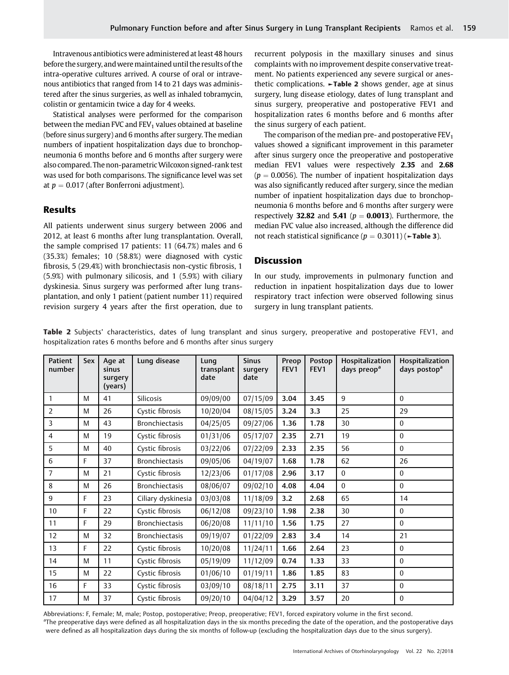Intravenous antibiotics were administered at least 48 hours before the surgery, andweremaintained until the results of the intra-operative cultures arrived. A course of oral or intravenous antibiotics that ranged from 14 to 21 days was administered after the sinus surgeries, as well as inhaled tobramycin, colistin or gentamicin twice a day for 4 weeks.

Statistical analyses were performed for the comparison between the median FVC and  $FEV<sub>1</sub>$  values obtained at baseline (before sinus surgery) and 6 months after surgery. The median numbers of inpatient hospitalization days due to bronchopneumonia 6 months before and 6 months after surgery were also compared. The non-parametricWilcoxon signed-rank test was used for both comparisons. The significance level was set at  $p = 0.017$  (after Bonferroni adjustment).

# Results

All patients underwent sinus surgery between 2006 and 2012, at least 6 months after lung transplantation. Overall, the sample comprised 17 patients: 11 (64.7%) males and 6 (35.3%) females; 10 (58.8%) were diagnosed with cystic fibrosis, 5 (29.4%) with bronchiectasis non-cystic fibrosis, 1 (5.9%) with pulmonary silicosis, and 1 (5.9%) with ciliary dyskinesia. Sinus surgery was performed after lung transplantation, and only 1 patient (patient number 11) required revision surgery 4 years after the first operation, due to recurrent polyposis in the maxillary sinuses and sinus complaints with no improvement despite conservative treatment. No patients experienced any severe surgical or anesthetic complications. ►Table 2 shows gender, age at sinus surgery, lung disease etiology, dates of lung transplant and sinus surgery, preoperative and postoperative FEV1 and hospitalization rates 6 months before and 6 months after the sinus surgery of each patient.

The comparison of the median pre- and postoperative  $FEV<sub>1</sub>$ values showed a significant improvement in this parameter after sinus surgery once the preoperative and postoperative median FEV1 values were respectively 2.35 and 2.68  $(p = 0.0056)$ . The number of inpatient hospitalization days was also significantly reduced after surgery, since the median number of inpatient hospitalization days due to bronchopneumonia 6 months before and 6 months after surgery were respectively 32.82 and 5.41 ( $p = 0.0013$ ). Furthermore, the median FVC value also increased, although the difference did not reach statistical significance ( $p = 0.3011$ ) ( $\blacktriangleright$ Table 3).

#### **Discussion**

In our study, improvements in pulmonary function and reduction in inpatient hospitalization days due to lower respiratory tract infection were observed following sinus surgery in lung transplant patients.

| Patient<br>number | Sex | Age at<br>sinus<br>surgery<br>(years) | Lung disease          | Lung<br>transplant<br>date | <b>Sinus</b><br>surgery<br>date | Preop<br>FEV <sub>1</sub> | Postop<br>FEV <sub>1</sub> | Hospitalization<br>days preop <sup>a</sup> | Hospitalization<br>days postop <sup>a</sup> |
|-------------------|-----|---------------------------------------|-----------------------|----------------------------|---------------------------------|---------------------------|----------------------------|--------------------------------------------|---------------------------------------------|
| 1                 | M   | 41                                    | Silicosis             | 09/09/00                   | 07/15/09                        | 3.04                      | 3.45                       | $\mathbf{q}$                               | $\Omega$                                    |
| $\overline{2}$    | M   | 26                                    | Cystic fibrosis       | 10/20/04                   | 08/15/05                        | 3.24                      | 3.3                        | 25                                         | 29                                          |
| 3                 | M   | 43                                    | <b>Bronchiectasis</b> | 04/25/05                   | 09/27/06                        | 1.36                      | 1.78                       | 30                                         | $\theta$                                    |
| 4                 | M   | 19                                    | Cystic fibrosis       | 01/31/06                   | 05/17/07                        | 2.35                      | 2.71                       | 19                                         | $\theta$                                    |
| 5                 | M   | 40                                    | Cystic fibrosis       | 03/22/06                   | 07/22/09                        | 2.33                      | 2.35                       | 56                                         | $\theta$                                    |
| 6                 | F   | 37                                    | <b>Bronchiectasis</b> | 09/05/06                   | 04/19/07                        | 1.68                      | 1.78                       | 62                                         | 26                                          |
| 7                 | M   | 21                                    | Cystic fibrosis       | 12/23/06                   | 01/17/08                        | 2.96                      | 3.17                       | $\Omega$                                   | $\mathbf{0}$                                |
| 8                 | M   | 26                                    | <b>Bronchiectasis</b> | 08/06/07                   | 09/02/10                        | 4.08                      | 4.04                       | $\Omega$                                   | $\Omega$                                    |
| 9                 | F   | 23                                    | Ciliary dyskinesia    | 03/03/08                   | 11/18/09                        | 3.2                       | 2.68                       | 65                                         | 14                                          |
| $10\,$            | F   | 22                                    | Cystic fibrosis       | 06/12/08                   | 09/23/10                        | 1.98                      | 2.38                       | 30                                         | $\boldsymbol{0}$                            |
| 11                | F   | 29                                    | <b>Bronchiectasis</b> | 06/20/08                   | 11/11/10                        | 1.56                      | 1.75                       | 27                                         | $\Omega$                                    |
| 12                | M   | 32                                    | <b>Bronchiectasis</b> | 09/19/07                   | 01/22/09                        | 2.83                      | 3.4                        | 14                                         | 21                                          |
| 13                | F   | 22                                    | Cystic fibrosis       | 10/20/08                   | 11/24/11                        | 1.66                      | 2.64                       | 23                                         | $\Omega$                                    |
| 14                | M   | 11                                    | Cystic fibrosis       | 05/19/09                   | 11/12/09                        | 0.74                      | 1.33                       | 33                                         | $\mathbf{0}$                                |
| 15                | M   | 22                                    | Cystic fibrosis       | 01/06/10                   | 01/19/11                        | 1.86                      | 1.85                       | 83                                         | $\mathbf{0}$                                |
| 16                | F   | 33                                    | Cystic fibrosis       | 03/09/10                   | 08/18/11                        | 2.75                      | 3.11                       | 37                                         | $\mathbf{0}$                                |
| 17                | M   | 37                                    | Cystic fibrosis       | 09/20/10                   | 04/04/12                        | 3.29                      | 3.57                       | 20                                         | $\mathbf{0}$                                |

Table 2 Subjects' characteristics, dates of lung transplant and sinus surgery, preoperative and postoperative FEV1, and hospitalization rates 6 months before and 6 months after sinus surgery

Abbreviations: F, Female; M, male; Postop, postoperative; Preop, preoperative; FEV1, forced expiratory volume in the first second. <sup>a</sup>The preoperative days were defined as all hospitalization days in the six months preceding the date of the operation, and the postoperative days were defined as all hospitalization days during the six months of follow-up (excluding the hospitalization days due to the sinus surgery).